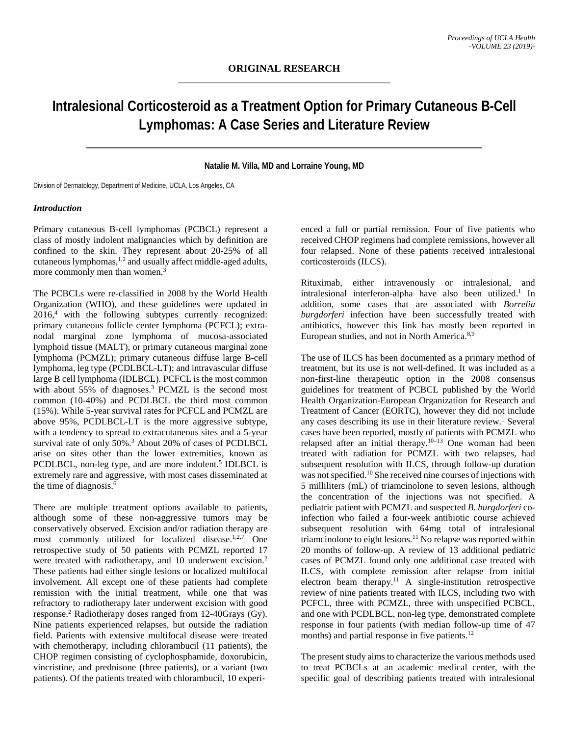# **Intralesional Corticosteroid as a Treatment Option for Primary Cutaneous B-Cell Lymphomas: A Case Series and Literature Review**

## **Natalie M. Villa, MD and Lorraine Young, MD**

Division of Dermatology, Department of Medicine, UCLA, Los Angeles, CA

#### *Introduction*

Primary cutaneous B-cell lymphomas (PCBCL) represent a class of mostly indolent malignancies which by definition are confined to the skin. They represent about 20-25% of all cutaneous lymphomas, 1,2 and usually affect middle-aged adults, more commonly men than women. 3

The PCBCLs were re-classified in 2008 by the World Health Organization (WHO), and these guidelines were updated in 2016, <sup>4</sup> with the following subtypes currently recognized: primary cutaneous follicle center lymphoma (PCFCL); extranodal marginal zone lymphoma of mucosa-associated lymphoid tissue (MALT), or primary cutaneous marginal zone lymphoma (PCMZL); primary cutaneous diffuse large B-cell lymphoma, leg type (PCDLBCL-LT); and intravascular diffuse large B cell lymphoma (IDLBCL). PCFCL is the most common with about 55% of diagnoses.<sup>3</sup> PCMZL is the second most common (10-40%) and PCDLBCL the third most common (15%). While 5-year survival rates for PCFCL and PCMZL are above 95%, PCDLBCL-LT is the more aggressive subtype, with a tendency to spread to extracutaneous sites and a 5-year survival rate of only 50%.<sup>3</sup> About 20% of cases of PCDLBCL arise on sites other than the lower extremities, known as PCDLBCL, non-leg type, and are more indolent. <sup>5</sup> IDLBCL is extremely rare and aggressive, with most cases disseminated at the time of diagnosis.<sup>6</sup>

There are multiple treatment options available to patients, although some of these non-aggressive tumors may be conservatively observed. Excision and/or radiation therapy are most commonly utilized for localized disease.<sup>1,2,7</sup> One retrospective study of 50 patients with PCMZL reported 17 were treated with radiotherapy, and 10 underwent excision.<sup>2</sup> These patients had either single lesions or localized multifocal involvement. All except one of these patients had complete remission with the initial treatment, while one that was refractory to radiotherapy later underwent excision with good response. <sup>2</sup> Radiotherapy doses ranged from 12-40Grays (Gy). Nine patients experienced relapses, but outside the radiation field. Patients with extensive multifocal disease were treated with chemotherapy, including chlorambucil (11 patients), the CHOP regimen consisting of cyclophosphamide, doxorubicin, vincristine, and prednisone (three patients), or a variant (two patients). Of the patients treated with chlorambucil, 10 experi-

enced a full or partial remission. Four of five patients who received CHOP regimens had complete remissions, however all four relapsed. None of these patients received intralesional corticosteroids (ILCS).

Rituximab, either intravenously or intralesional, and intralesional interferon-alpha have also been utilized.<sup>1</sup> In addition, some cases that are associated with *Borrelia burgdorferi* infection have been successfully treated with antibiotics, however this link has mostly been reported in European studies, and not in North America.8,9

The use of ILCS has been documented as a primary method of treatment, but its use is not well-defined. It was included as a non-first-line therapeutic option in the 2008 consensus guidelines for treatment of PCBCL published by the World Health Organization-European Organization for Research and Treatment of Cancer (EORTC), however they did not include any cases describing its use in their literature review. <sup>1</sup> Several cases have been reported, mostly of patients with PCMZL who relapsed after an initial therapy. 10–13 One woman had been treated with radiation for PCMZL with two relapses, had subsequent resolution with ILCS, through follow-up duration was not specified. <sup>10</sup> She received nine courses of injections with 5 milliliters (mL) of triamcinolone to seven lesions, although the concentration of the injections was not specified. A pediatric patient with PCMZL and suspected *B. burgdorferi* coinfection who failed a four-week antibiotic course achieved subsequent resolution with 64mg total of intralesional triamcinolone to eight lesions.11 No relapse was reported within 20 months of follow-up. A review of 13 additional pediatric cases of PCMZL found only one additional case treated with ILCS, with complete remission after relapse from initial electron beam therapy.<sup>11</sup> A single-institution retrospective review of nine patients treated with ILCS, including two with PCFCL, three with PCMZL, three with unspecified PCBCL, and one with PCDLBCL, non-leg type, demonstrated complete response in four patients (with median follow-up time of 47 months) and partial response in five patients.<sup>12</sup>

The present study aims to characterize the various methods used to treat PCBCLs at an academic medical center, with the specific goal of describing patients treated with intralesional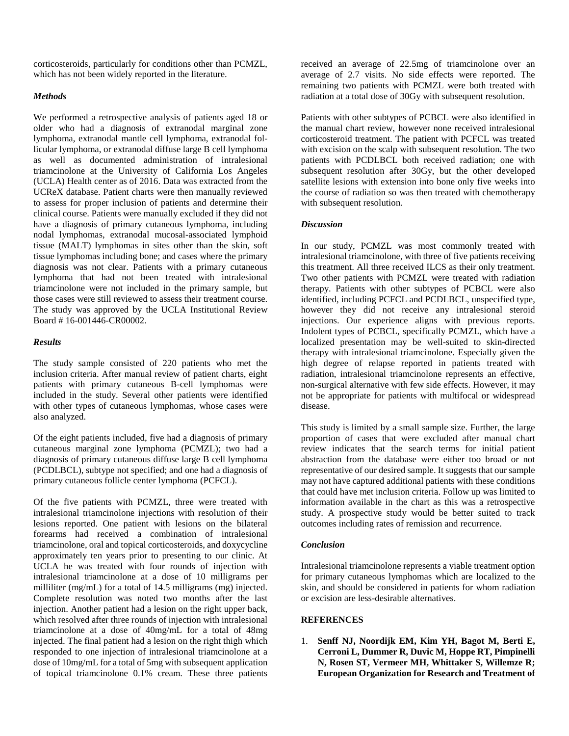corticosteroids, particularly for conditions other than PCMZL, which has not been widely reported in the literature.

## *Methods*

We performed a retrospective analysis of patients aged 18 or older who had a diagnosis of extranodal marginal zone lymphoma, extranodal mantle cell lymphoma, extranodal follicular lymphoma, or extranodal diffuse large B cell lymphoma as well as documented administration of intralesional triamcinolone at the University of California Los Angeles (UCLA) Health center as of 2016. Data was extracted from the UCReX database. Patient charts were then manually reviewed to assess for proper inclusion of patients and determine their clinical course. Patients were manually excluded if they did not have a diagnosis of primary cutaneous lymphoma, including nodal lymphomas, extranodal mucosal-associated lymphoid tissue (MALT) lymphomas in sites other than the skin, soft tissue lymphomas including bone; and cases where the primary diagnosis was not clear. Patients with a primary cutaneous lymphoma that had not been treated with intralesional triamcinolone were not included in the primary sample, but those cases were still reviewed to assess their treatment course. The study was approved by the UCLA Institutional Review Board # 16-001446-CR00002.

### *Results*

The study sample consisted of 220 patients who met the inclusion criteria. After manual review of patient charts, eight patients with primary cutaneous B-cell lymphomas were included in the study. Several other patients were identified with other types of cutaneous lymphomas, whose cases were also analyzed.

Of the eight patients included, five had a diagnosis of primary cutaneous marginal zone lymphoma (PCMZL); two had a diagnosis of primary cutaneous diffuse large B cell lymphoma (PCDLBCL), subtype not specified; and one had a diagnosis of primary cutaneous follicle center lymphoma (PCFCL).

Of the five patients with PCMZL, three were treated with intralesional triamcinolone injections with resolution of their lesions reported. One patient with lesions on the bilateral forearms had received a combination of intralesional triamcinolone, oral and topical corticosteroids, and doxycycline approximately ten years prior to presenting to our clinic. At UCLA he was treated with four rounds of injection with intralesional triamcinolone at a dose of 10 milligrams per milliliter (mg/mL) for a total of 14.5 milligrams (mg) injected. Complete resolution was noted two months after the last injection. Another patient had a lesion on the right upper back, which resolved after three rounds of injection with intralesional triamcinolone at a dose of 40mg/mL for a total of 48mg injected. The final patient had a lesion on the right thigh which responded to one injection of intralesional triamcinolone at a dose of 10mg/mL for a total of 5mg with subsequent application of topical triamcinolone 0.1% cream. These three patients

received an average of 22.5mg of triamcinolone over an average of 2.7 visits. No side effects were reported. The remaining two patients with PCMZL were both treated with radiation at a total dose of 30Gy with subsequent resolution.

Patients with other subtypes of PCBCL were also identified in the manual chart review, however none received intralesional corticosteroid treatment. The patient with PCFCL was treated with excision on the scalp with subsequent resolution. The two patients with PCDLBCL both received radiation; one with subsequent resolution after 30Gy, but the other developed satellite lesions with extension into bone only five weeks into the course of radiation so was then treated with chemotherapy with subsequent resolution.

# *Discussion*

In our study, PCMZL was most commonly treated with intralesional triamcinolone, with three of five patients receiving this treatment. All three received ILCS as their only treatment. Two other patients with PCMZL were treated with radiation therapy. Patients with other subtypes of PCBCL were also identified, including PCFCL and PCDLBCL, unspecified type, however they did not receive any intralesional steroid injections. Our experience aligns with previous reports. Indolent types of PCBCL, specifically PCMZL, which have a localized presentation may be well-suited to skin-directed therapy with intralesional triamcinolone. Especially given the high degree of relapse reported in patients treated with radiation, intralesional triamcinolone represents an effective, non-surgical alternative with few side effects. However, it may not be appropriate for patients with multifocal or widespread disease.

This study is limited by a small sample size. Further, the large proportion of cases that were excluded after manual chart review indicates that the search terms for initial patient abstraction from the database were either too broad or not representative of our desired sample. It suggests that our sample may not have captured additional patients with these conditions that could have met inclusion criteria. Follow up was limited to information available in the chart as this was a retrospective study. A prospective study would be better suited to track outcomes including rates of remission and recurrence.

#### *Conclusion*

Intralesional triamcinolone represents a viable treatment option for primary cutaneous lymphomas which are localized to the skin, and should be considered in patients for whom radiation or excision are less-desirable alternatives.

# **REFERENCES**

1. **Senff NJ, Noordijk EM, Kim YH, Bagot M, Berti E, Cerroni L, Dummer R, Duvic M, Hoppe RT, Pimpinelli N, Rosen ST, Vermeer MH, Whittaker S, Willemze R; European Organization for Research and Treatment of**